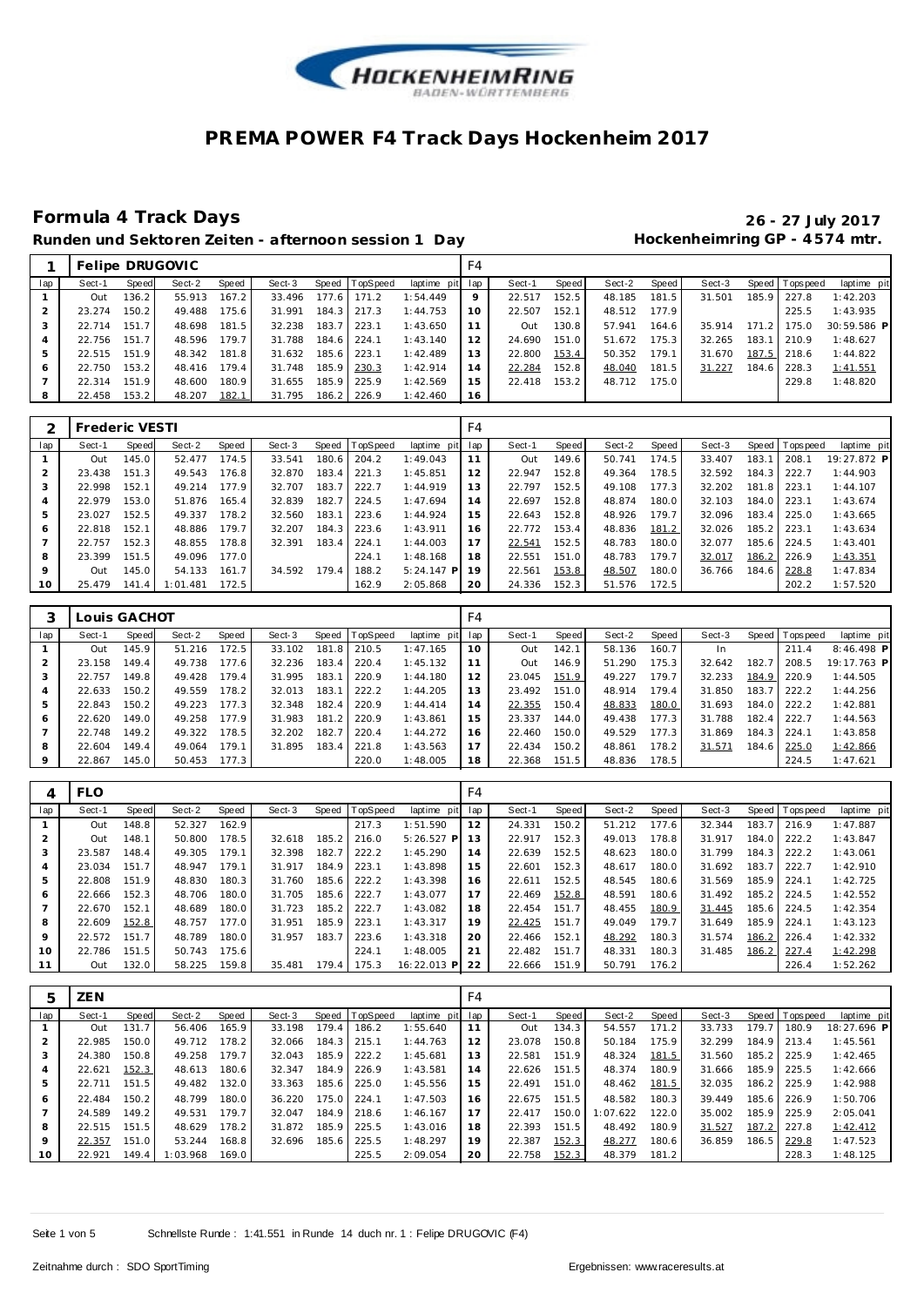

#### Runden und Sektoren Zeiten - afternoon session 1 Day **10 bis 10 Hockenheimring GP** - 4574 mtr.

## **Formula 4 Track Days 26 - 27 July 2017**

| Sect-3<br>Sect-2<br>Speed<br>Sect-1<br>Speed<br>lap<br>136.21<br>167.2<br>55.913<br>33.496<br>Out | Speed TopSpeed<br>177.6<br>171.2<br>$184.3$   217.3 | laptime pit lap<br>1:54.449<br>1:44.753 | 9  | Sect-1<br>22.517 | Speed<br>152.5 | Sect-2<br>48.185 | Speed | Sect-3 |       | Speed Tops peed | laptime pit |
|---------------------------------------------------------------------------------------------------|-----------------------------------------------------|-----------------------------------------|----|------------------|----------------|------------------|-------|--------|-------|-----------------|-------------|
|                                                                                                   |                                                     |                                         |    |                  |                |                  |       |        |       |                 |             |
|                                                                                                   |                                                     |                                         |    |                  |                |                  | 181.5 | 31.501 | 185.9 | 227.8           | 1:42.203    |
| 150.2<br>175.6<br>31.991<br>23.274<br>49.488                                                      |                                                     |                                         | 10 | 22.507           | 152.1          | 48.512           | 177.9 |        |       | 225.5           | 1:43.935    |
| 151.7<br>48.698<br>181.5<br>32.238<br>22.714                                                      | 183.7 223.1                                         | 1:43.650                                |    | Out              | 130.8          | 57.941           | 164.6 | 35.914 | 171.2 | 175.0           | 30:59.586 P |
| 151.7<br>48.596<br>179.7<br>31.788<br>22.756                                                      | 184.6 224.1                                         | 1:43.140                                |    | 24.690           | 151.0          | 51.672           | 175.3 | 32.265 | 183.1 | 210.9           | 1:48.627    |
| 151.9<br>181.8<br>48.342<br>31.632<br>22.515                                                      | 185.6 223.1                                         | 1:42.489                                |    | 22.800           | 153.4          | 50.352           | 179.1 | 31.670 |       | 187.5 218.6     | 1:44.822    |
| 153.2<br>22.750<br>179.4<br>31.748<br>48.416<br>6                                                 | 185.9<br>230.3                                      | 1:42.914                                | 14 | 22.284           | 152.8          | 48.040           | 181.5 | 31.227 | 184.6 | 228.3           | 1:41.551    |
| 151.9<br>180.9<br>22.314<br>48.600<br>31.655                                                      | 185.9 225.9                                         | 1:42.569                                | 15 | 22.418           | 153.2          | 48.712           | 175.0 |        |       | 229.8           | 1:48.820    |
| 153.2<br>48.207<br>182.1<br>22.458<br>31.795                                                      | 186.2 226.9                                         | 1:42.460                                | 16 |                  |                |                  |       |        |       |                 |             |

|     | Frederic VESTI |       |          |       |        |       |          |              | F4  |        |       |        |       |        |       |                 |             |
|-----|----------------|-------|----------|-------|--------|-------|----------|--------------|-----|--------|-------|--------|-------|--------|-------|-----------------|-------------|
| lap | Sect-1         | Speed | Sect-2   | Speed | Sect-3 | Speed | TopSpeed | laptime pit  | lap | Sect-1 | Speed | Sect-2 | Speed | Sect-3 |       | Speed Tops peed | laptime pit |
|     | Out            | 145.0 | 52.477   | 174.5 | 33.541 | 180.6 | 204.2    | 1:49.043     | 11  | Out    | 149.6 | 50.741 | 174.5 | 33.407 | 183.  | 208.1           | 19:27.872 P |
|     | 23.438         | 151.3 | 49.543   | 176.8 | 32.870 | 183.4 | 221.3    | 1:45.851     | 12  | 22.947 | 152.8 | 49.364 | 178.5 | 32.592 | 184.3 | 222.7           | 1:44.903    |
|     | 22.998         | 152.1 | 49.214   | 177.9 | 32.707 | 183.7 | 222.7    | 1:44.919     | 13  | 22.797 | 152.5 | 49.108 | 177.3 | 32.202 | 181.8 | 223.1           | 1:44.107    |
|     | 22.979         | 153.0 | 51.876   | 165.4 | 32.839 | 182.7 | 224.5    | 1:47.694     | 14  | 22.697 | 152.8 | 48.874 | 180.0 | 32.103 | 184.0 | 223.1           | 1:43.674    |
| 5   | 23.027         | 152.5 | 49.337   | 178.2 | 32.560 | 183.1 | 223.6    | 1:44.924     | 15  | 22.643 | 152.8 | 48.926 | 179.7 | 32.096 | 183.4 | 225.0           | 1:43.665    |
| 6   | 22.818         | 152.1 | 48.886   | 179.7 | 32.207 | 184.3 | 223.6    | 1:43.911     | 16  | 22.772 | 153.4 | 48.836 | 181.2 | 32.026 | 185.2 | 223.1           | 1:43.634    |
|     | 22.757         | 152.3 | 48.855   | 178.8 | 32.391 | 183.4 | 224.1    | 1:44.003     | 17  | 22.541 | 152.5 | 48.783 | 180.0 | 32.077 | 185.6 | 224.5           | 1:43.401    |
| 8   | 23.399         | 151.5 | 49.096   | 177.0 |        |       | 224.1    | 1:48.168     | 18  | 22.551 | 151.0 | 48.783 | 179.7 | 32.017 | 186.2 | 226.9           | 1:43.351    |
|     | Out            | 145.0 | 54.133   | 161.7 | 34.592 | 179.4 | 188.2    | $5:24.147$ P | 19  | 22.561 | 153.8 | 48.507 | 180.0 | 36.766 | 184.6 | 228.8           | 1:47.834    |
| 10  | 25.479         | 141.4 | 1:01.481 | 172.5 |        |       | 162.9    | 2:05.868     | 20  | 24.336 | 152.3 | 51.576 | 172.5 |        |       | 202.2           | 1:57.520    |

|     |        | Louis GACHOT |        |       |        |       |          |                 | F4      |        |       |        |       |        |       |                |              |
|-----|--------|--------------|--------|-------|--------|-------|----------|-----------------|---------|--------|-------|--------|-------|--------|-------|----------------|--------------|
| lap | Sect-1 | Speed        | Sect-2 | Speed | Sect-3 | Speed | TopSpeed | laptime pit lap |         | Sect-1 | Speed | Sect-2 | Speed | Sect-3 |       | Speed Topspeed | laptime pit  |
|     | Out    | 145.9        | 51.216 | 172.5 | 33.102 | 181.8 | 210.5    | 1:47.165        | 10      | Out    | 142.1 | 58.136 | 160.7 |        |       | 211.4          | $8:46.498$ P |
|     | 23.158 | 149.4        | 49.738 | 177.6 | 32.236 | 183.4 | 220.4    | 1:45.132        |         | Out    | 146.9 | 51.290 | 175.3 | 32.642 | 182.  | 208.5          | 19:17.763 P  |
|     | 22.757 | 149.8        | 49.428 | 179.4 | 31.995 | 183.1 | 220.9    | 1:44.180        | $12 \,$ | 23.045 | 151.9 | 49.227 | 179.7 | 32.233 | 184.9 | 220.9          | 1:44.505     |
| 4   | 22.633 | 150.2        | 49.559 | 178.2 | 32.013 | 183.1 | 222.2    | 1:44.205        | 13      | 23.492 | 151.0 | 48.914 | 179.4 | 31.850 | 183.7 | 222.2          | 1:44.256     |
| 5   | 22.843 | 150.2        | 49.223 | 177.3 | 32.348 | 182.4 | 220.9    | 1:44.414        | 14      | 22.355 | 150.4 | 48.833 | 180.0 | 31.693 | 184.0 | 222.2          | 1:42.881     |
| 6   | 22.620 | 149.0        | 49.258 | 177.9 | 31.983 | 181.2 | 220.9    | 1:43.861        | 15      | 23.337 | 144.0 | 49.438 | 177.3 | 31.788 | 182.4 | 222.7          | 1:44.563     |
|     | 22.748 | 149.2        | 49.322 | 178.5 | 32.202 | 182.7 | 220.4    | 1:44.272        | 16      | 22.460 | 150.0 | 49.529 | 177.3 | 31.869 | 184.3 | 224.1          | 1:43.858     |
| 8   | 22.604 | 149.4        | 49.064 | 179.1 | 31.895 | 183.4 | 221.8    | 1:43.563        | 17      | 22.434 | 150.2 | 48.861 | 178.2 | 31.571 | 184.6 | 225.0          | 1:42.866     |
| 9   | 22.867 | 145.O I      | 50.453 | 177.3 |        |       | 220.0    | 1:48.005        | 18      | 22.368 | 151.5 | 48.836 | 178.5 |        |       | 224.5          | 1:47.621     |

|     | <b>FLO</b> |         |        |       |        |       |          |              | F4  |        |       |        |       |        |       |                |             |
|-----|------------|---------|--------|-------|--------|-------|----------|--------------|-----|--------|-------|--------|-------|--------|-------|----------------|-------------|
| lap | Sect-1     | Speed   | Sect-2 | Speed | Sect-3 | Speed | TopSpeed | laptime pit  | lap | Sect-1 | Speed | Sect-2 | Speed | Sect-3 |       | Speed Topspeed | laptime pit |
|     | Out        | 148.8   | 52.327 | 162.9 |        |       | 217.3    | 1:51.590     | 12  | 24.331 | 150.2 | 51.212 | 177.6 | 32.344 | 183.7 | 216.9          | 1:47.887    |
|     | Out        | 148.1   | 50.800 | 178.5 | 32.618 | 185.2 | 216.0    | $5:26.527$ P | 13  | 22.917 | 152.3 | 49.013 | 178.8 | 31.917 | 184.0 | 222.2          | 1:43.847    |
| 3   | 23.587     | 148.4   | 49.305 | 179.1 | 32.398 | 182.7 | 222.2    | 1:45.290     | 14  | 22.639 | 152.5 | 48.623 | 180.0 | 31.799 | 184.3 | 222.2          | 1:43.061    |
|     | 23.034     | 151.7   | 48.947 | 179.1 | 31.917 | 184.9 | 223.1    | 1:43.898     | 15  | 22.601 | 152.3 | 48.617 | 180.0 | 31.692 | 183.7 | 222.7          | 1:42.910    |
| 5   | 22.808     | 151.9   | 48.830 | 180.3 | 31.760 | 185.6 | 222.2    | 1:43.398     | 16  | 22.611 | 152.5 | 48.545 | 180.6 | 31.569 | 185.9 | 224.1          | 1:42.725    |
| 6   | 22.666     | 152.3   | 48.706 | 180.0 | 31.705 | 185.6 | 222.7    | 1:43.077     | 17  | 22.469 | 152.8 | 48.591 | 180.6 | 31.492 | 185.2 | 224.5          | 1:42.552    |
|     | 22.670     | 152.1   | 48.689 | 180.0 | 31.723 | 185.2 | 222.7    | 1:43.082     | 18  | 22.454 | 151.7 | 48.455 | 180.9 | 31.445 | 185.6 | 224.5          | 1:42.354    |
| 8   | 22.609     | 152.8   | 48.757 | 177.0 | 31.951 | 185.9 | 223.1    | 1:43.317     | 19  | 22.425 | 151.7 | 49.049 | 179.7 | 31.649 | 185.9 | 224.1          | 1:43.123    |
| 9   | 22.572     | 151.7   | 48.789 | 180.0 | 31.957 | 183.7 | 223.6    | 1:43.318     | 20  | 22.466 | 152.1 | 48.292 | 180.3 | 31.574 | 186.2 | 226.4          | 1:42.332    |
| 10  | 22.786     | 151.5   | 50.743 | 175.6 |        |       | 224.1    | 1:48.005     | 21  | 22.482 | 151.7 | 48.331 | 180.3 | 31.485 | 186.2 | 227.4          | 1:42.298    |
|     | Out        | 132.0 l | 58.225 | 159.8 | 35.481 | 179.4 | 175.3    | 16:22.013 P  | 22  | 22.666 | 151.9 | 50.791 | 176.2 |        |       | 226.4          | 1:52.262    |

|                | <b>ZEN</b> |       |          |       |        |       |          |                | F4  |        |       |          |       |        |       |            |             |
|----------------|------------|-------|----------|-------|--------|-------|----------|----------------|-----|--------|-------|----------|-------|--------|-------|------------|-------------|
| lap            | Sect-1     | Speed | Sect-2   | Speed | Sect-3 | Speed | TopSpeed | laptime<br>pit | lap | Sect-1 | Speed | Sect-2   | Speed | Sect-3 | Speed | T ops peed | laptime pit |
|                | Out        | 131.7 | 56.406   | 165.9 | 33.198 | 179.4 | 186.2    | 1:55.640       | 11  | Out    | 134.3 | 54.557   | 171.2 | 33.733 | 179.7 | 180.9      | 18:27.696 P |
|                | 22.985     | 150.0 | 49.712   | 178.2 | 32.066 | 184.3 | 215.1    | 1:44.763       | 12  | 23.078 | 150.8 | 50.184   | 175.9 | 32.299 | 184.9 | 213.4      | 1:45.561    |
| 3              | 24.380     | 150.8 | 49.258   | 179.7 | 32.043 | 185.9 | 222.2    | 1:45.681       | 13  | 22.581 | 151.9 | 48.324   | 181.5 | 31.560 | 185.2 | 225.9      | 1:42.465    |
| 4              | 22.621     | 152.3 | 48.613   | 180.6 | 32.347 | 184.9 | 226.9    | 1:43.581       | 14  | 22.626 | 151.5 | 48.374   | 180.9 | 31.666 | 185.9 | 225.5      | 1:42.666    |
| 5              | 22.711     | 151.5 | 49.482   | 132.0 | 33.363 | 185.6 | 225.0    | 1:45.556       | 15  | 22.491 | 151.0 | 48.462   | 181.5 | 32.035 | 186.2 | 225.9      | 1:42.988    |
| 6              | 22.484     | 150.2 | 48.799   | 180.0 | 36.220 | 175.0 | 224.1    | 1:47.503       | 16  | 22.675 | 151.5 | 48.582   | 180.3 | 39.449 | 185.6 | 226.9      | 1:50.706    |
| $\overline{7}$ | 24.589     | 149.2 | 49.531   | 179.7 | 32.047 | 184.9 | 218.6    | 1:46.167       | 17  | 22.417 | 150.0 | 1:07.622 | 122.0 | 35.002 | 185.9 | 225.9      | 2:05.041    |
| 8              | 22.515     | 151.5 | 48.629   | 178.2 | 31.872 | 185.9 | 225.5    | 1:43.016       | 18  | 22.393 | 151.5 | 48.492   | 180.9 | 31.527 | 187.2 | 227.8      | 1:42.412    |
| 9              | 22.357     | 151.0 | 53.244   | 168.8 | 32.696 | 185.6 | 225.5    | 1:48.297       | 19  | 22.387 | 152.3 | 48.277   | 180.6 | 36.859 | 186.5 | 229.8      | 1:47.523    |
| 10             | 22.921     | 149.4 | 1:03.968 | 169.0 |        |       | 225.5    | 2:09.054       | 20  | 22.758 | 152.3 | 48.379   | 181.2 |        |       | 228.3      | 1:48.125    |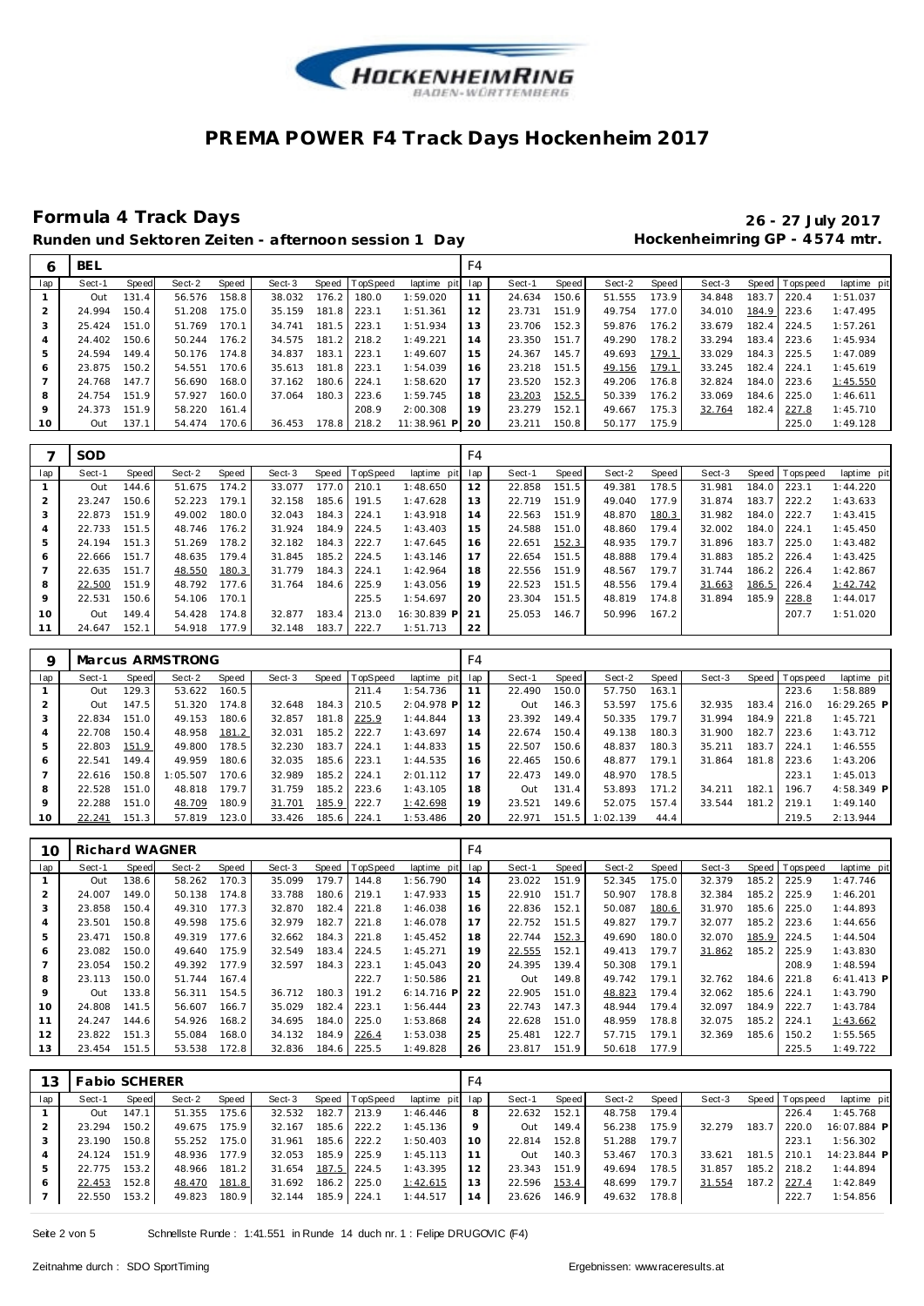

#### Runden und Sektoren Zeiten - afternoon session 1 Day **10 bis 10 Hockenheimring GP** - 4574 mtr.

# **Formula 4 Track Days 26 - 27 July 2017**

| 6   | BEL    |       |        |       |        |       |             |                 | F4 |        |       |        |       |        |       |                 |             |
|-----|--------|-------|--------|-------|--------|-------|-------------|-----------------|----|--------|-------|--------|-------|--------|-------|-----------------|-------------|
| lap | Sect-1 | Speed | Sect-2 | Speed | Sect-3 | Speed | TopSpeed    | laptime pit lap |    | Sect-1 | Speed | Sect-2 | Speed | Sect-3 |       | Speed Tops peed | laptime pit |
|     | Out    | 131.4 | 56.576 | 158.8 | 38.032 | 176.2 | 180.0       | 1:59.020        |    | 24.634 | 150.6 | 51.555 | 173.9 | 34.848 | 183.7 | 220.4           | 1:51.037    |
|     | 24.994 | 150.4 | 51.208 | 175.0 | 35.159 | 181.8 | 223.1       | 1:51.361        |    | 23.731 | 151.9 | 49.754 | 177.0 | 34.010 | 184.9 | 223.6           | 1:47.495    |
|     | 25.424 | 151.0 | 51.769 | 170.1 | 34.741 | 181.5 | 223.1       | 1:51.934        | 13 | 23.706 | 152.3 | 59.876 | 176.2 | 33.679 | 182.4 | 224.5           | 1:57.261    |
|     | 24.402 | 150.6 | 50.244 | 176.2 | 34.575 |       | 181.2 218.2 | 1:49.221        | 14 | 23.350 | 151.7 | 49.290 | 178.2 | 33.294 | 183.4 | 223.6           | 1:45.934    |
|     | 24.594 | 149.4 | 50.176 | 174.8 | 34.837 | 183.1 | 223.1       | 1:49.607        | 15 | 24.367 | 145.7 | 49.693 | 179.1 | 33.029 | 184.3 | 225.5           | 1:47.089    |
| 6   | 23.875 | 150.2 | 54.551 | 170.6 | 35.613 | 181.8 | 223.1       | 1:54.039        | 16 | 23.218 | 151.5 | 49.156 | 179.1 | 33.245 | 182.4 | 224.1           | 1:45.619    |
|     | 24.768 | 147.7 | 56.690 | 168.0 | 37.162 | 180.6 | 224.1       | 1:58.620        |    | 23.520 | 152.3 | 49.206 | 176.8 | 32.824 | 184.0 | 223.6           | 1:45.550    |
| 8   | 24.754 | 151.9 | 57.927 | 160.0 | 37.064 | 180.3 | 223.6       | 1:59.745        | 18 | 23.203 | 152.5 | 50.339 | 176.2 | 33.069 | 184.6 | 225.0           | 1:46.611    |
| 9   | 24.373 | 151.9 | 58.220 | 161.4 |        |       | 208.9       | 2:00.308        | 19 | 23.279 | 152.1 | 49.667 | 175.3 | 32.764 | 182.4 | 227.8           | 1:45.710    |
| 10  | Out    | 137.1 | 54.474 | 170.6 | 36.453 | 178.8 | 218.2       | 11:38.961 P     | 20 | 23.211 | 150.8 | 50.177 | 175.9 |        |       | 225.0           | 1:49.128    |

|                | <b>SOD</b> |       |        |       |        |       |                  |                 | F <sub>4</sub> |        |       |        |       |        |       |                 |             |
|----------------|------------|-------|--------|-------|--------|-------|------------------|-----------------|----------------|--------|-------|--------|-------|--------|-------|-----------------|-------------|
| lap            | Sect-1     | Speed | Sect-2 | Speed | Sect-3 |       | Speed   TopSpeed | laptime pit lap |                | Sect-1 | Speed | Sect-2 | Speed | Sect-3 |       | Speed Tops peed | laptime pit |
|                | Out        | 144.6 | 51.675 | 174.2 | 33.077 | 177.0 | 210.1            | 1:48.650        | 12             | 22.858 | 151.5 | 49.381 | 178.5 | 31.981 | 184.0 | 223.1           | 1:44.220    |
| 2              | 23.247     | 150.6 | 52.223 | 179.1 | 32.158 | 185.6 | 191.5            | 1:47.628        | 13             | 22.719 | 151.9 | 49.040 | 177.9 | 31.874 | 183.7 | 222.2           | 1:43.633    |
| 3              | 22.873     | 151.9 | 49.002 | 180.0 | 32.043 | 184.3 | 224.1            | 1:43.918        | 14             | 22.563 | 151.9 | 48.870 | 180.3 | 31.982 | 184.0 | 222.7           | 1:43.415    |
| $\overline{4}$ | 22.733     | 151.5 | 48.746 | 176.2 | 31.924 | 184.9 | 224.5            | 1:43.403        | 15             | 24.588 | 151.0 | 48.860 | 179.4 | 32.002 | 184.0 | 224.1           | 1:45.450    |
| 5              | 24.194     | 151.3 | 51.269 | 178.2 | 32.182 | 184.3 | 222.7            | 1:47.645        | 16             | 22.651 | 152.3 | 48.935 | 179.7 | 31.896 | 183.7 | 225.0           | 1:43.482    |
| 6              | 22.666     | 151.7 | 48.635 | 179.4 | 31.845 | 185.2 | 224.5            | 1:43.146        | 17             | 22.654 | 151.5 | 48.888 | 179.4 | 31.883 | 185.2 | 226.4           | 1:43.425    |
| $\overline{7}$ | 22.635     | 151.7 | 48.550 | 180.3 | 31.779 | 184.3 | 224.1            | 1:42.964        | 18             | 22.556 | 151.9 | 48.567 | 179.7 | 31.744 | 186.2 | 226.4           | 1:42.867    |
| 8              | 22.500     | 151.9 | 48.792 | 177.6 | 31.764 | 184.6 | 225.9            | 1:43.056        | 19             | 22.523 | 151.5 | 48.556 | 179.4 | 31.663 | 186.5 | 226.4           | 1:42.742    |
| 9              | 22.531     | 150.6 | 54.106 | 170.1 |        |       | 225.5            | 1:54.697        | 20             | 23.304 | 151.5 | 48.819 | 174.8 | 31.894 | 185.9 | 228.8           | 1:44.017    |
| 10             | Out        | 149.4 | 54.428 | 174.8 | 32.877 | 183.4 | 213.0            | 16:30.839 P     | 21             | 25.053 | 146.7 | 50.996 | 167.2 |        |       | 207.7           | 1:51.020    |
| 11             | 24.647     | 152.1 | 54.918 | 177.9 | 32.148 | 183.7 | 222.7            | 1:51.713        | 22             |        |       |        |       |        |       |                 |             |

| Q   |        |       | Marcus ARMSTRONG |       |        |       |          |                 | F4 |        |       |          |       |        |       |                |             |
|-----|--------|-------|------------------|-------|--------|-------|----------|-----------------|----|--------|-------|----------|-------|--------|-------|----------------|-------------|
| lap | Sect-1 | Speed | Sect-2           | Speed | Sect-3 | Speed | TopSpeed | laptime pit lap |    | Sect-1 | Speed | Sect-2   | Speed | Sect-3 |       | Speed Topspeed | laptime pit |
|     | Out    | 129.3 | 53.622           | 160.5 |        |       | 211.4    | 1:54.736        | 11 | 22.490 | 150.0 | 57.750   | 163.1 |        |       | 223.6          | 1:58.889    |
|     | Out    | 147.5 | 51.320           | 174.8 | 32.648 | 184.3 | 210.5    | $2:04.978$ P    | 12 | Out    | 146.3 | 53.597   | 175.6 | 32.935 | 183.4 | 216.0          | 16:29.265 P |
| 3   | 22.834 | 151.0 | 49.153           | 180.6 | 32.857 | 181.8 | 225.9    | 1:44.844        | 13 | 23.392 | 149.4 | 50.335   | 179.7 | 31.994 | 184.9 | 221.8          | 1:45.721    |
| 4   | 22.708 | 150.4 | 48.958           | 181.2 | 32.031 | 185.2 | 222.7    | 1:43.697        | 14 | 22.674 | 150.4 | 49.138   | 180.3 | 31.900 | 182.7 | 223.6          | 1:43.712    |
| 5   | 22.803 | 151.9 | 49.800           | 178.5 | 32.230 | 183.7 | 224.1    | 1:44.833        | 15 | 22.507 | 150.6 | 48.837   | 180.3 | 35.211 | 183.7 | 224.1          | 1:46.555    |
| 6   | 22.541 | 149.4 | 49.959           | 180.6 | 32.035 | 185.6 | 223.1    | 1:44.535        | 16 | 22.465 | 150.6 | 48.877   | 179.1 | 31.864 | 181.8 | 223.6          | 1:43.206    |
| 7   | 22.616 | 150.8 | 1:05.507         | 170.6 | 32.989 | 185.2 | 224.1    | 2:01.112        | 17 | 22.473 | 149.0 | 48.970   | 178.5 |        |       | 223.1          | 1:45.013    |
| 8   | 22.528 | 151.0 | 48.818           | 179.7 | 31.759 | 185.2 | 223.6    | 1:43.105        | 18 | Out    | 131.4 | 53.893   | 171.2 | 34.211 | 182.  | 196.7          | 4:58.349 P  |
| 9   | 22.288 | 151.0 | 48.709           | 180.9 | 31.701 | 185.9 | 222.7    | 1:42.698        | 19 | 23.521 | 149.6 | 52.075   | 157.4 | 33.544 | 181.  | 219.1          | 1:49.140    |
| 10  | 22.241 | 151.3 | 57.819           | 123.0 | 33.426 | 185.6 | 224.1    | 1:53.486        | 20 | 22.971 | 151.5 | 1:02.139 | 44.4  |        |       | 219.5          | 2:13.944    |

| 10             | Richard WAGNER |       |        |       |        |       |          |              | F4  |        |       |        |       |        |       |                   |               |
|----------------|----------------|-------|--------|-------|--------|-------|----------|--------------|-----|--------|-------|--------|-------|--------|-------|-------------------|---------------|
| lap            | Sect-1         | Speed | Sect-2 | Speed | Sect-3 | Speed | TopSpeed | laptime pit  | lap | Sect-1 | Speed | Sect-2 | Speed | Sect-3 |       | Speed   Tops peed | laptime pit   |
|                | Out            | 138.6 | 58.262 | 170.3 | 35.099 | 179.7 | 144.8    | 1:56.790     | 14  | 23.022 | 151.9 | 52.345 | 175.0 | 32.379 | 185.2 | 225.9             | 1:47.746      |
| $\overline{2}$ | 24.007         | 149.0 | 50.138 | 174.8 | 33.788 | 180.6 | 219.1    | 1:47.933     | 15  | 22.910 | 151.7 | 50.907 | 178.8 | 32.384 | 185.2 | 225.9             | 1:46.201      |
| 3              | 23.858         | 150.4 | 49.310 | 177.3 | 32.870 | 182.4 | 221.8    | 1:46.038     | 16  | 22.836 | 152.1 | 50.087 | 180.6 | 31.970 | 185.6 | 225.0             | 1:44.893      |
| 4              | 23.501         | 150.8 | 49.598 | 175.6 | 32.979 | 182.7 | 221.8    | 1:46.078     | 17  | 22.752 | 151.5 | 49.827 | 179.7 | 32.077 | 185.2 | 223.6             | 1:44.656      |
| 5              | 23.471         | 150.8 | 49.319 | 177.6 | 32.662 | 184.3 | 221.8    | 1:45.452     | 18  | 22.744 | 152.3 | 49.690 | 180.0 | 32.070 | 185.9 | 224.5             | 1:44.504      |
| 6              | 23.082         | 150.0 | 49.640 | 175.9 | 32.549 | 183.4 | 224.5    | 1:45.271     | 19  | 22.555 | 152.1 | 49.413 | 179.7 | 31.862 | 185.2 | 225.9             | 1:43.830      |
| 7              | 23.054         | 150.2 | 49.392 | 177.9 | 32.597 | 184.3 | 223.1    | 1:45.043     | 20  | 24.395 | 139.4 | 50.308 | 179.1 |        |       | 208.9             | 1:48.594      |
| 8              | 23.113         | 150.0 | 51.744 | 167.4 |        |       | 222.7    | 1:50.586     | 21  | Out    | 149.8 | 49.742 | 179.1 | 32.762 | 184.6 | 221.8             | $6: 41.413$ P |
| 9              | Out            | 133.8 | 56.311 | 154.5 | 36.712 | 180.3 | 191.2    | $6:14.716$ P | 22  | 22.905 | 151.0 | 48.823 | 179.4 | 32.062 | 185.6 | 224.1             | 1:43.790      |
| 10             | 24.808         | 141.5 | 56.607 | 166.7 | 35.029 | 182.4 | 223.1    | 1:56.444     | 23  | 22.743 | 147.3 | 48.944 | 179.4 | 32.097 | 184.9 | 222.7             | 1:43.784      |
| 11             | 24.247         | 144.6 | 54.926 | 168.2 | 34.695 | 184.0 | 225.0    | 1:53.868     | 24  | 22.628 | 151.0 | 48.959 | 178.8 | 32.075 | 185.2 | 224.1             | 1:43.662      |
| 12             | 23.822         | 151.3 | 55.084 | 168.0 | 34.132 | 184.9 | 226.4    | 1:53.038     | 25  | 25.481 | 122.7 | 57.715 | 179.1 | 32.369 | 185.6 | 150.2             | 1:55.565      |
| 13             | 23.454         | 151.5 | 53.538 | 172.8 | 32.836 | 184.6 | 225.5    | 1:49.828     | 26  | 23.817 | 151.9 | 50.618 | 177.9 |        |       | 225.5             | 1:49.722      |

| 13  | <b>Fabio SCHERER</b> |       |        |       |        |       |                 |                 | F4              |              |       |        |       |        |       |                |             |
|-----|----------------------|-------|--------|-------|--------|-------|-----------------|-----------------|-----------------|--------------|-------|--------|-------|--------|-------|----------------|-------------|
| lap | Sect-1               | Speed | Sect-2 | Speed | Sect-3 |       | Speed TopSpeed  | laptime pit lap |                 | Sect-1       | Speed | Sect-2 | Speed | Sect-3 |       | Speed Topspeed | laptime pit |
|     | Out                  | 147.1 | 51.355 | 175.6 | 32.532 | 182.7 | 213.9           | 1:46.446        | 8               | 22.632       | 152.1 | 48.758 | 179.4 |        |       | 226.4          | 1:45.768    |
|     | 23.294               | 150.2 | 49.675 | 175.9 | 32.167 |       | 185.6 222.2     | 1:45.136        | 9               | Out          | 149.4 | 56.238 | 175.9 | 32.279 | 183.  | 220.0          | 16:07.884 P |
|     | 23.190               | 150.8 | 55.252 | 175.0 | 31.961 |       | 185.6 222.2     | 1:50.403        | 10 <sup>°</sup> | 22.814       | 152.8 | 51.288 | 179.7 |        |       | 223.1          | 1:56.302    |
|     | 24.124               | 151.9 | 48.936 | 177.9 | 32.053 |       | 185.9 225.9     | 1:45.113        |                 | Out          | 140.3 | 53.467 | 170.3 | 33.621 | 181.5 | 210.1          | 14:23.844 P |
| 5   | 22.775               | 153.2 | 48.966 | 181.2 | 31.654 |       | 187.5 224.5     | 1:43.395        | 12              | 23.343 151.9 |       | 49.694 | 178.5 | 31.857 | 185.2 | 218.2          | 1:44.894    |
| 6   | 22.453               | 152.8 | 48.470 | 181.8 | 31.692 |       | $186.2$   225.0 | 1:42.615        | 13              | 22.596       | 153.4 | 48.699 | 179.7 | 31.554 | 187.2 | 227.4          | 1:42.849    |
|     | 22.550               | 153.2 | 49.823 | 180.9 | 32.144 |       | 185.9 224.1     | 1:44.517        | 14              | 23.626       | 146.9 | 49.632 | 178.8 |        |       | 222.7          | 1:54.856    |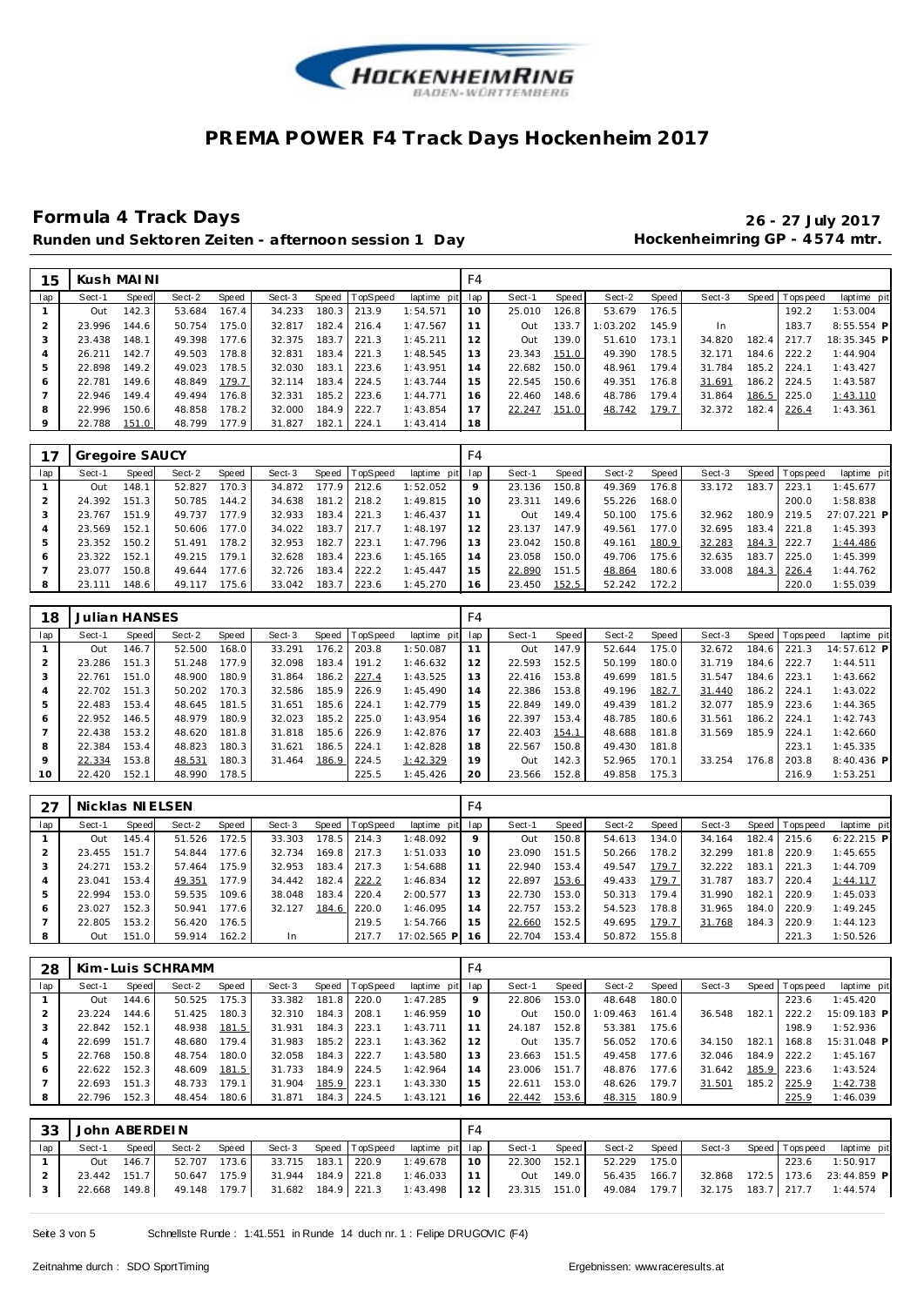

#### Runden und Sektoren Zeiten - afternoon session 1 Day **10 bis 10 Hockenheimring GP** - 4574 mtr.

## **Formula 4 Track Days 26 - 27 July 2017**

| 15  | Kush MAINI |       |        |       |        |       |          |                 | F4 |        |       |          |       |           |       |                |              |
|-----|------------|-------|--------|-------|--------|-------|----------|-----------------|----|--------|-------|----------|-------|-----------|-------|----------------|--------------|
| lap | Sect-1     | Speed | Sect-2 | Speed | Sect-3 | Speed | TopSpeed | laptime pit lap |    | Sect-1 | Speed | Sect-2   | Speed | Sect-3    |       | Speed Topspeed | laptime pit  |
|     | Out        | 142.3 | 53.684 | 167.4 | 34.233 | 180.3 | 213.9    | 1:54.571        | 10 | 25.010 | 126.8 | 53.679   | 176.5 |           |       | 192.2          | 1:53.004     |
|     | 23.996     | 144.6 | 50.754 | 175.0 | 32.817 | 182.4 | 216.4    | 1:47.567        | 11 | Out    | 133.7 | 1:03.202 | 145.9 | <b>In</b> |       | 183.7          | $8:55.554$ P |
|     | 23.438     | 148.1 | 49.398 | 177.6 | 32.375 | 183.7 | 221.3    | 1:45.211        | 12 | Out    | 139.0 | 51.610   | 173.1 | 34.820    | 182.4 | 217.7          | 18:35.345 P  |
|     | 26.211     | 142.7 | 49.503 | 178.8 | 32.831 | 183.4 | 221.3    | 1:48.545        | 13 | 23.343 | 151.0 | 49.390   | 178.5 | 32.171    | 184.6 | 222.2          | 1:44.904     |
| 5   | 22.898     | 149.2 | 49.023 | 178.5 | 32.030 | 183.1 | 223.6    | 1:43.951        | 14 | 22.682 | 150.0 | 48.961   | 179.4 | 31.784    | 185.2 | 224.1          | 1:43.427     |
| 6   | 22.781     | 149.6 | 48.849 | 179.7 | 32.114 | 183.4 | 224.5    | 1:43.744        | 15 | 22.545 | 150.6 | 49.351   | 176.8 | 31.691    | 186.2 | 224.5          | 1:43.587     |
|     | 22.946     | 149.4 | 49.494 | 176.8 | 32.331 | 185.2 | 223.6    | 1:44.771        | 16 | 22.460 | 148.6 | 48.786   | 179.4 | 31.864    | 186.5 | 225.0          | 1:43.110     |
| 8   | 22.996     | 150.6 | 48.858 | 178.2 | 32.000 | 184.9 | 222.7    | 1:43.854        | 17 | 22.247 | 151.0 | 48.742   | 179.7 | 32.372    | 182.4 | 226.4          | 1:43.361     |
|     | 22.788     | 151.0 | 48.799 | 177.9 | 31.827 | 182.1 | 224.1    | 1:43.414        | 18 |        |       |          |       |           |       |                |              |

|     | Gregoire SAUCY |       |        |                    |        |       |          |                 | F4 |        |       |        |       |        |       |                 |             |
|-----|----------------|-------|--------|--------------------|--------|-------|----------|-----------------|----|--------|-------|--------|-------|--------|-------|-----------------|-------------|
| lap | Sect-1         | Speed | Sect-2 | Speed              | Sect-3 | Speed | TopSpeed | laptime pit lap |    | Sect-1 | Speed | Sect-2 | Speed | Sect-3 |       | Speed Tops peed | laptime pit |
|     | Out            | 148.1 | 52.827 | 170.3              | 34.872 | 177.9 | 212.6    | 1:52.052        | 9  | 23.136 | 150.8 | 49.369 | 176.8 | 33.172 | 183.  | 223.1           | 1:45.677    |
|     | 24.392         | 151.3 | 50.785 | 144.2              | 34.638 | 181.2 | 218.2    | 1:49.815        | 10 | 23.311 | 149.6 | 55.226 | 168.0 |        |       | 200.0           | 1:58.838    |
|     | 23.767         | 151.9 | 49.737 | 177.9              | 32.933 | 183.4 | 221.3    | 1:46.437        |    | Out    | 149.4 | 50.100 | 175.6 | 32.962 | 180.9 | 219.5           | 27:07.221 P |
|     | 23.569         | 152.1 | 50.606 | 177.0 <sub>1</sub> | 34.022 | 183.7 | 217.7    | 1:48.197        | 12 | 23.137 | 147.9 | 49.561 | 177.0 | 32.695 | 183.4 | 221.8           | 1:45.393    |
| 5   | 23.352         | 150.2 | 51.491 | 178.2              | 32.953 | 182.7 | 223.1    | 1:47.796        | 13 | 23.042 | 150.8 | 49.161 | 180.9 | 32.283 | 184.3 | 222.7           | 1:44.486    |
| 6   | 23.322         | 152.1 | 49.215 | 179.1              | 32.628 | 183.4 | 223.6    | 1:45.165        | 14 | 23.058 | 150.0 | 49.706 | 175.6 | 32.635 | 183.7 | 225.0           | 1:45.399    |
|     | 23.077         | 150.8 | 49.644 | 177.6              | 32.726 | 183.4 | 222.2    | 1:45.447        | 15 | 22.890 | 151.5 | 48.864 | 180.6 | 33.008 | 184.3 | 226.4           | 1:44.762    |
| 8   | 23.111         | 148.6 | 49.117 | 175.6              | 33.042 | 183.7 | 223.6    | 1:45.270        | 16 | 23.450 | 152.5 | 52.242 | 172.2 |        |       | 220.0           | 1:55.039    |

| 18  |        | <b>Julian HANSES</b> |        |       |        |       |                |             | F4  |        |       |        |       |        |       |                 |              |
|-----|--------|----------------------|--------|-------|--------|-------|----------------|-------------|-----|--------|-------|--------|-------|--------|-------|-----------------|--------------|
| lap | Sect-1 | Speed                | Sect-2 | Speed | Sect-3 |       | Speed TopSpeed | laptime pit | lap | Sect-1 | Speed | Sect-2 | Speed | Sect-3 |       | Speed Tops peed | laptime pit  |
|     | Out    | 146.7                | 52.500 | 168.0 | 33.291 | 176.2 | 203.8          | 1:50.087    | 11  | Out    | 147.9 | 52.644 | 175.0 | 32.672 | 184.6 | 221.3           | 14:57.612 P  |
|     | 23.286 | 151.3                | 51.248 | 177.9 | 32.098 | 183.4 | 191.2          | 1:46.632    | 12  | 22.593 | 152.5 | 50.199 | 180.0 | 31.719 | 184.6 | 222.7           | 1:44.511     |
| 3   | 22.761 | 151.0                | 48.900 | 180.9 | 31.864 | 186.2 | 227.4          | 1:43.525    | 13  | 22.416 | 153.8 | 49.699 | 181.5 | 31.547 | 184.6 | 223.1           | 1:43.662     |
| 4   | 22.702 | 151.3                | 50.202 | 170.3 | 32.586 | 185.9 | 226.9          | 1:45.490    | 14  | 22.386 | 153.8 | 49.196 | 182.7 | 31.440 | 186.2 | 224.1           | 1:43.022     |
| 5   | 22.483 | 153.4                | 48.645 | 181.5 | 31.651 | 185.6 | 224.1          | 1:42.779    | 15  | 22.849 | 149.0 | 49.439 | 181.2 | 32.077 | 185.9 | 223.6           | 1:44.365     |
| 6   | 22.952 | 146.5                | 48.979 | 180.9 | 32.023 | 185.2 | 225.0          | 1:43.954    | 16  | 22.397 | 153.4 | 48.785 | 180.6 | 31.561 | 186.2 | 224.1           | 1:42.743     |
|     | 22.438 | 153.2                | 48.620 | 181.8 | 31.818 | 185.6 | 226.9          | 1:42.876    | 17  | 22.403 | 154.1 | 48.688 | 181.8 | 31.569 | 185.9 | 224.1           | 1:42.660     |
| 8   | 22.384 | 153.4                | 48.823 | 180.3 | 31.621 | 186.5 | 224.1          | 1:42.828    | 18  | 22.567 | 150.8 | 49.430 | 181.8 |        |       | 223.1           | 1:45.335     |
| 9   | 22.334 | 153.8                | 48.531 | 180.3 | 31.464 | 186.9 | 224.5          | 1:42.329    | 19  | Out    | 142.3 | 52.965 | 170.1 | 33.254 | 176.8 | 203.8           | $8:40.436$ P |
| 10  | 22.420 | 152.1                | 48.990 | 178.5 |        |       | 225.5          | 1:45.426    | 20  | 23.566 | 152.8 | 49.858 | 175.3 |        |       | 216.9           | 1:53.251     |

|     |        | Nicklas NIELSEN |        |       |        |       |                 |             | F4  |        |       |        |       |        |       |                |              |
|-----|--------|-----------------|--------|-------|--------|-------|-----------------|-------------|-----|--------|-------|--------|-------|--------|-------|----------------|--------------|
| lap | Sect-1 | Speed           | Sect-2 | Speed | Sect-3 | Speed | <b>TopSpeed</b> | laptime pit | lap | Sect-1 | Speed | Sect-2 | Speed | Sect-3 |       | Speed Topspeed | laptime pit  |
|     | Out    | 145.4           | 51.526 | 172.5 | 33.303 | 178.5 | 214.3           | 1:48.092    | 9   | Out    | 150.8 | 54.613 | 134.0 | 34.164 | 182.4 | 215.6          | $6:22.215$ P |
|     | 23.455 | 151.7           | 54.844 | 177.6 | 32.734 | 169.8 | 217.3           | 1:51.033    | 10  | 23.090 | 151.5 | 50.266 | 178.2 | 32.299 | 181.8 | 220.9          | 1:45.655     |
|     | 24.271 | 153.2           | 57.464 | 175.9 | 32.953 | 183.4 | 217.3           | 1:54.688    |     | 22.940 | 153.4 | 49.547 | 179.7 | 32.222 | 183.1 | 221.3          | 1:44.709     |
|     | 23.041 | 153.4           | 49.351 | 177.9 | 34.442 | 182.4 | 222.2           | 1:46.834    | 12  | 22.897 | 153.6 | 49.433 | 179.7 | 31.787 | 183.7 | 220.4          | 1:44.117     |
| 5   | 22.994 | 153.0           | 59.535 | 109.6 | 38.048 | 183.4 | 220.4           | 2:00.577    | 13  | 22.730 | 153.0 | 50.313 | 179.4 | 31.990 | 182.7 | 220.9          | 1:45.033     |
| 6   | 23.027 | 152.3           | 50.941 | 177.6 | 32.127 | 184.6 | 220.0           | 1:46.095    | 14  | 22.757 | 153.2 | 54.523 | 178.8 | 31.965 | 184.0 | 220.9          | 1:49.245     |
|     | 22.805 | 153.2           | 56.420 | 176.5 |        |       | 219.5           | 1:54.766    | 15  | 22.660 | 152.5 | 49.695 | 179.7 | 31.768 | 184.3 | 220.9          | 1:44.123     |
| 8   | Out    | 151.0           | 59.914 | 162.2 | In.    |       | 217.7           | 17:02.565 P | 16  | 22.704 | 153.4 | 50.872 | 155.8 |        |       | 221.3          | 1:50.526     |

| 28  |        |       | Kim-Luis SCHRAMM |       |        |       |                |             | F4  |        |        |          |       |        |       |                 |             |  |
|-----|--------|-------|------------------|-------|--------|-------|----------------|-------------|-----|--------|--------|----------|-------|--------|-------|-----------------|-------------|--|
| lap | Sect-1 | Speed | Sect-2           | Speed | Sect-3 |       | Speed TopSpeed | laptime pit | lap | Sect-1 | Speed  | Sect-2   | Speed | Sect-3 |       | Speed Tops peed | laptime pit |  |
|     | Out    | 144.6 | 50.525           | 175.3 | 33.382 | 181.8 | 220.0          | 1:47.285    | 9   | 22.806 | 153.0  | 48.648   | 180.0 |        |       | 223.6           | 1:45.420    |  |
|     | 23.224 | 144.6 | 51.425           | 180.3 | 32.310 | 184.3 | 208.1          | 1:46.959    | 10  | Out    | 150.0  | 1:09.463 | 161.4 | 36.548 | 182.  | 222.2           | 15:09.183 P |  |
|     | 22.842 | 152.1 | 48.938           | 181.5 | 31.931 | 184.3 | 223.1          | 1:43.711    |     | 24.187 | 152.8  | 53.381   | 175.6 |        |       | 198.9           | 1:52.936    |  |
|     | 22.699 | 151.7 | 48.680           | 179.4 | 31.983 | 185.2 | 223.1          | 1:43.362    | 12  | Out    | 135.7. | 56.052   | 170.6 | 34.150 | 182.1 | 168.8           | 15:31.048 P |  |
| 5   | 22.768 | 150.8 | 48.754           | 180.0 | 32.058 | 184.3 | 222.7          | 1:43.580    | 13  | 23.663 | 151.5  | 49.458   | 177.6 | 32.046 | 184.9 | 222.2           | 1:45.167    |  |
| 6   | 22.622 | 152.3 | 48.609           | 181.5 | 31.733 | 184.9 | 224.5          | 1:42.964    | 14  | 23.006 | 151.7  | 48.876   | 177.6 | 31.642 | 185.9 | 223.6           | 1:43.524    |  |
|     | 22.693 | 151.3 | 48.733           | 179.1 | 31.904 | 185.9 | 223.1          | 1:43.330    | 15  | 22.611 | 153.0  | 48.626   | 179.7 | 31.501 | 185.2 | 225.9           | 1:42.738    |  |
| 8   | 22.796 | 152.3 | 48.454           | 180.6 | 31.871 | 184.3 | 224.5          | 1:43.121    | 16  | 22.442 | 153.6  | 48.315   | 180.9 |        |       | 225.9           | 1:46.039    |  |

| 33  | John ABERDEIN |       |                           |       |                    |  |                                       |              |       |              |  |       |                                                                                                                |
|-----|---------------|-------|---------------------------|-------|--------------------|--|---------------------------------------|--------------|-------|--------------|--|-------|----------------------------------------------------------------------------------------------------------------|
| lap | Sect-1        | Speed | Sect-2                    | Speed |                    |  | Sect-3 Speed TopSpeed laptime pit lap | Sect-1       | Speed | Sect-2 Speed |  |       | Sect-3 Speed Topspeed laptime pit                                                                              |
|     | Out           | 146.7 | 52.707 173.6              |       | 33.715 183.1 220.9 |  | $1:49.678$ 10                         | 22.300 152.1 |       | 52.229 175.0 |  | 223.6 | 1:50.917                                                                                                       |
|     |               |       | 23.442 151.7 50.647 175.9 |       |                    |  | 31.944 184.9 221.8 1:46.033 11        | Out 149.0    |       | 56.435 166.7 |  |       | 32.868 172.5 173.6 23:44.859 P                                                                                 |
|     |               |       |                           |       |                    |  |                                       |              |       |              |  |       | 22.668 149.8 49.148 179.7 31.682 184.9 221.3 1:43.498 12 23.315 151.0 49.084 179.7 32.175 183.7 217.7 1:44.574 |

Seite 3 von 5 Schnellste Runde : 1:41.551 in Runde 14 duch nr. 1 : Felipe DRUGOVIC (F4)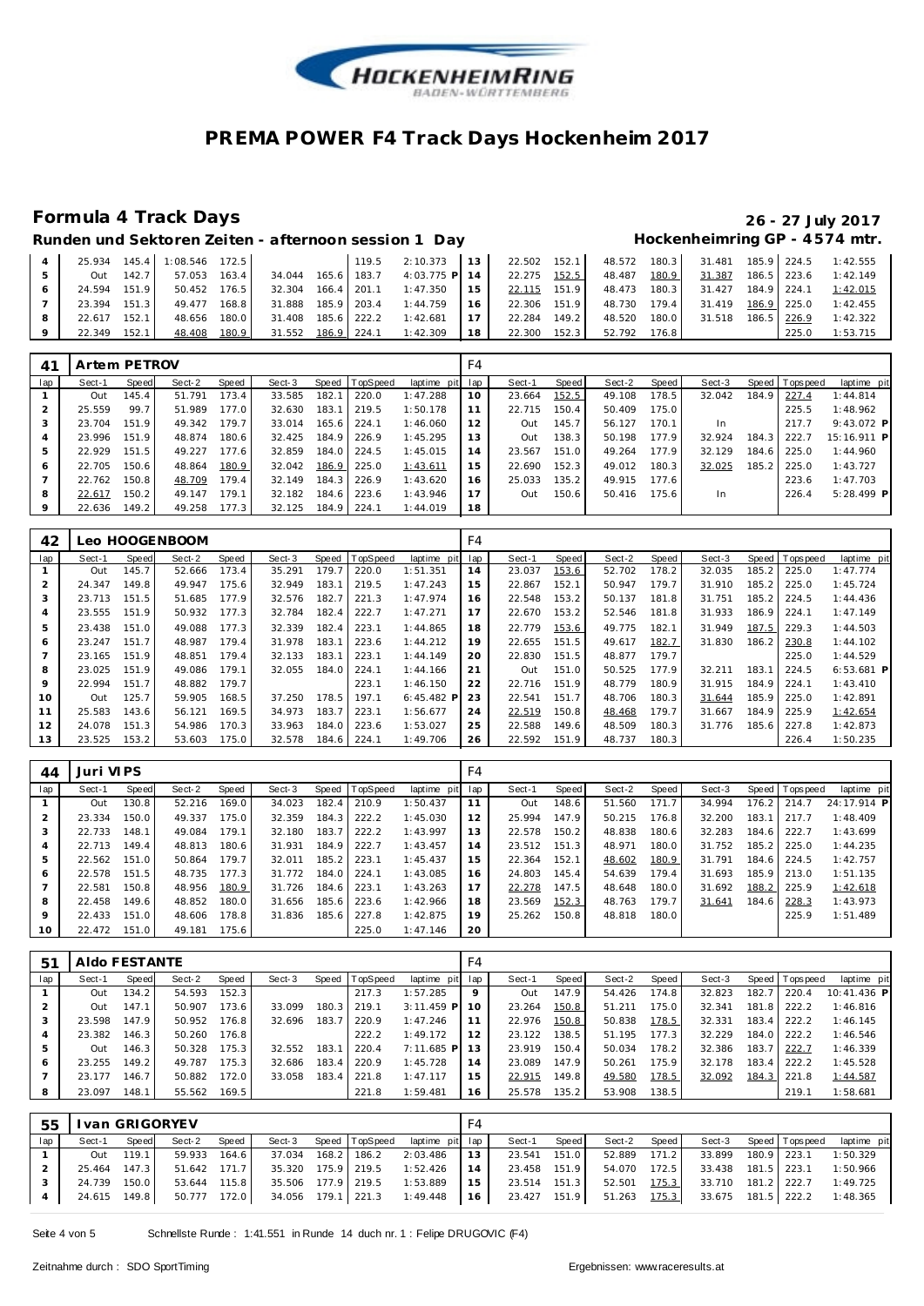

## **Formula 4 Track Days 26 - 27 July 2017**

#### Runden und Sektoren Zeiten - afternoon session 1 Day **10 billion 1 and 11 and 11 and 11 and 11 and 11 and 11 and 1** Hockenheimring GP - 4574 mtr.

| 25.934 | $145.4$ | $1:08.546$ 172.5 |       |        |         | 119.5 | 2:10.373   | 13              | 22.502       | 152.1 | 48.572 | 180.3   | 31.481 |             | 185.9 224.5 | 1:42.555 |
|--------|---------|------------------|-------|--------|---------|-------|------------|-----------------|--------------|-------|--------|---------|--------|-------------|-------------|----------|
| Out    |         | 57.053           | 163.4 | 34.044 | 165.6   | 183.7 | 4:03.775 P |                 | 22.275       | 152.5 | 48.487 | 180.9   | 31.387 |             | 186.5 223.6 | 1:42.149 |
| 24.594 | 151.9   | 50.452           | 176.5 | 32.304 | $166.4$ | 201.1 | 1:47.350   | 15 <sub>1</sub> | 22.115 151.9 |       | 48.473 | 180.3   | 31.427 | 184.9 224.1 |             | 1:42.015 |
| 23.394 | 151.3   | 49.477           | 168.8 | 31.888 | 185.9   | 203.4 | 1:44.759   | 16              | 22.306       | 151.9 | 48.730 | $179.4$ | 31.419 |             | 186.9 225.0 | 1:42.455 |
| 22.617 | 152.1   | 48.656           | 180.0 | 31.408 | 185.6   | 222.2 | 1:42.681   |                 | 22.284       | 149.2 | 48.520 | 180.0   | 31.518 |             | 186.5 226.9 | 1:42.322 |
| 22.349 | 152.1   | 48.408           | 180.9 | 31.552 | 186.9   | 224.1 | 1:42.309   | 18              | 22.300       | 152.3 | 52.792 | 176.8   |        |             | 225.0       | 1:53.715 |

| 41  | Artem PETROV |       |        |       |        |       |          |             | F4  |        |       |        |       |           |         |            |              |
|-----|--------------|-------|--------|-------|--------|-------|----------|-------------|-----|--------|-------|--------|-------|-----------|---------|------------|--------------|
| lap | Sect-1       | Speed | Sect-2 | Speed | Sect-3 | Speed | TopSpeed | laptime pit | lap | Sect-1 | Speed | Sect-2 | Speed | Sect-3    | Speed I | T ops peed | laptime pit  |
|     | Out          | 145.4 | 51.791 | 173.4 | 33.585 | 182.1 | 220.0    | 1:47.288    | 10  | 23.664 | 152.5 | 49.108 | 178.5 | 32.042    | 184.9   | 227.4      | 1:44.814     |
|     | 25.559       | 99.7  | 51.989 | 177.0 | 32.630 | 183.1 | 219.5    | 1:50.178    | 11  | 22.715 | 150.4 | 50.409 | 175.0 |           |         | 225.5      | 1:48.962     |
|     | 23.704       | 151.9 | 49.342 | 179.7 | 33.014 | 165.6 | 224.1    | 1:46.060    | 12  | Out    | 145.7 | 56.127 | 170.1 | <b>In</b> |         | 217.7      | $9:43.072$ P |
|     | 23.996       | 151.9 | 48.874 | 180.6 | 32.425 | 184.9 | 226.9    | 1:45.295    | 13  | Out    | 138.3 | 50.198 | 177.9 | 32.924    | 184.3   | 222.7      | 15:16.911 P  |
| 5   | 22.929       | 151.5 | 49.227 | 177.6 | 32.859 | 184.0 | 224.5    | 1:45.015    | 14  | 23.567 | 151.0 | 49.264 | 177.9 | 32.129    | 184.6   | 225.0      | 1:44.960     |
| 6   | 22.705       | 150.6 | 48.864 | 180.9 | 32.042 | 186.9 | 225.0    | 1:43.611    | 15  | 22.690 | 152.3 | 49.012 | 180.3 | 32.025    | 185.2   | 225.0      | 1:43.727     |
|     | 22.762       | 150.8 | 48.709 | 179.4 | 32.149 | 184.3 | 226.9    | 1:43.620    | 16  | 25.033 | 135.2 | 49.915 | 177.6 |           |         | 223.6      | 1:47.703     |
| 8   | 22.617       | 150.2 | 49.147 | 179.1 | 32.182 | 184.6 | 223.6    | 1:43.946    | 17  | Out    | 150.6 | 50.416 | 175.6 | In        |         | 226.4      | $5:28.499$ P |
|     | 22.636       | 149.2 | 49.258 | 177.3 | 32.125 | 184.9 | 224.1    | 1:44.019    | 18  |        |       |        |       |           |         |            |              |

| 42             |        |       | Leo HOOGENBOOM |       |        |       |          |              | F4  |        |       |        |       |        |       |                |              |
|----------------|--------|-------|----------------|-------|--------|-------|----------|--------------|-----|--------|-------|--------|-------|--------|-------|----------------|--------------|
| lap            | Sect-1 | Speed | Sect-2         | Speed | Sect-3 | Speed | TopSpeed | laptime pit  | lap | Sect-1 | Speed | Sect-2 | Speed | Sect-3 |       | Speed Topspeed | laptime pit  |
|                | Out    | 145.7 | 52.666         | 173.4 | 35.291 | 179.7 | 220.0    | 1:51.351     | 14  | 23.037 | 153.6 | 52.702 | 178.2 | 32.035 | 185.2 | 225.0          | 1:47.774     |
| $\overline{2}$ | 24.347 | 149.8 | 49.947         | 175.6 | 32.949 | 183.1 | 219.5    | 1:47.243     | 15  | 22.867 | 152.1 | 50.947 | 179.7 | 31.910 | 185.2 | 225.0          | 1:45.724     |
| 3              | 23.713 | 151.5 | 51.685         | 177.9 | 32.576 | 182.7 | 221.3    | 1:47.974     | 16  | 22.548 | 153.2 | 50.137 | 181.8 | 31.751 | 185.2 | 224.5          | 1:44.436     |
| 4              | 23.555 | 151.9 | 50.932         | 177.3 | 32.784 | 182.4 | 222.7    | 1:47.271     | 17  | 22.670 | 153.2 | 52.546 | 181.8 | 31.933 | 186.9 | 224.1          | 1:47.149     |
| 5              | 23.438 | 151.0 | 49.088         | 177.3 | 32.339 | 182.4 | 223.1    | 1:44.865     | 18  | 22.779 | 153.6 | 49.775 | 182.1 | 31.949 | 187.5 | 229.3          | 1:44.503     |
| 6              | 23.247 | 151.7 | 48.987         | 179.4 | 31.978 | 183.1 | 223.6    | 1:44.212     | 19  | 22.655 | 151.5 | 49.617 | 182.7 | 31.830 | 186.2 | 230.8          | 1:44.102     |
|                | 23.165 | 151.9 | 48.851         | 179.4 | 32.133 | 183.1 | 223.1    | 1:44.149     | 20  | 22.830 | 151.5 | 48.877 | 179.7 |        |       | 225.0          | 1:44.529     |
| 8              | 23.025 | 151.9 | 49.086         | 179.1 | 32.055 | 184.0 | 224.1    | 1:44.166     | 21  | Out    | 151.0 | 50.525 | 177.9 | 32.211 | 183.1 | 224.5          | $6:53.681$ P |
| 9              | 22.994 | 151.7 | 48.882         | 179.7 |        |       | 223.1    | 1:46.150     | 22  | 22.716 | 151.9 | 48.779 | 180.9 | 31.915 | 184.9 | 224.1          | 1:43.410     |
| 10             | Out    | 125.7 | 59.905         | 168.5 | 37.250 | 178.5 | 197.1    | $6:45.482$ P | 23  | 22.541 | 151.7 | 48.706 | 180.3 | 31.644 | 185.9 | 225.0          | 1:42.891     |
| 11             | 25.583 | 143.6 | 56.121         | 169.5 | 34.973 | 183.7 | 223.1    | 1:56.677     | 24  | 22.519 | 150.8 | 48.468 | 179.7 | 31.667 | 184.9 | 225.9          | 1:42.654     |
| 12             | 24.078 | 151.3 | 54.986         | 170.3 | 33.963 | 184.0 | 223.6    | 1:53.027     | 25  | 22.588 | 149.6 | 48.509 | 180.3 | 31.776 | 185.6 | 227.8          | 1:42.873     |
| 13             | 23.525 | 153.2 | 53.603         | 175.0 | 32.578 | 184.6 | 224.1    | 1:49.706     | 26  | 22.592 | 151.9 | 48.737 | 180.3 |        |       | 226.4          | 1:50.235     |

| 44              | Juri VIPS |       |        |       |        |       |                |             | F4  |        |       |        |       |        |       |            |             |
|-----------------|-----------|-------|--------|-------|--------|-------|----------------|-------------|-----|--------|-------|--------|-------|--------|-------|------------|-------------|
| lap             | Sect-1    | Speed | Sect-2 | Speed | Sect-3 |       | Speed TopSpeed | laptime pit | lap | Sect-1 | Speed | Sect-2 | Speed | Sect-3 | Speed | T ops peed | laptime pit |
|                 | Out       | 130.8 | 52.216 | 169.0 | 34.023 | 182.4 | 210.9          | 1:50.437    | 11  | Out    | 148.6 | 51.560 | 171.7 | 34.994 | 176.2 | 214.7      | 24:17.914 P |
|                 | 23.334    | 150.0 | 49.337 | 175.0 | 32.359 | 184.3 | 222.2          | 1:45.030    | 12  | 25.994 | 147.9 | 50.215 | 176.8 | 32.200 | 183.1 | 217.7      | 1:48.409    |
|                 | 22.733    | 148.1 | 49.084 | 179.1 | 32.180 | 183.7 | 222.2          | 1:43.997    | 13  | 22.578 | 150.2 | 48.838 | 180.6 | 32.283 | 184.6 | 222.7      | 1:43.699    |
|                 | 22.713    | 149.4 | 48.813 | 180.6 | 31.931 | 184.9 | 222.7          | 1:43.457    | 14  | 23.512 | 151.3 | 48.971 | 180.0 | 31.752 | 185.2 | 225.0      | 1:44.235    |
|                 | 22.562    | 151.0 | 50.864 | 179.7 | 32.011 | 185.2 | 223.1          | 1:45.437    | 15  | 22.364 | 152.1 | 48.602 | 180.9 | 31.791 | 184.6 | 224.5      | 1:42.757    |
| 6               | 22.578    | 151.5 | 48.735 | 177.3 | 31.772 | 184.0 | 224.1          | 1:43.085    | 16  | 24.803 | 145.4 | 54.639 | 179.4 | 31.693 | 185.9 | 213.0      | 1:51.135    |
|                 | 22.581    | 150.8 | 48.956 | 180.9 | 31.726 | 184.6 | 223.1          | 1:43.263    | 17  | 22.278 | 147.5 | 48.648 | 180.0 | 31.692 | 188.2 | 225.9      | 1:42.618    |
| 8               | 22.458    | 149.6 | 48.852 | 180.0 | 31.656 | 185.6 | 223.6          | 1:42.966    | 18  | 23.569 | 152.3 | 48.763 | 179.7 | 31.641 | 184.6 | 228.3      | 1:43.973    |
| 9               | 22.433    | 151.0 | 48.606 | 178.8 | 31.836 | 185.6 | 227.8          | 1:42.875    | 19  | 25.262 | 150.8 | 48.818 | 180.0 |        |       | 225.9      | 1:51.489    |
| 10 <sup>°</sup> | 22.472    | 151.0 | 49.181 | 175.6 |        |       | 225.0          | 1:47.146    | 20  |        |       |        |       |        |       |            |             |

| 51  | AIdo FESTANTE |       |        |       |        |       |                |              | F4  |        |       |        |       |        |       |                   |             |
|-----|---------------|-------|--------|-------|--------|-------|----------------|--------------|-----|--------|-------|--------|-------|--------|-------|-------------------|-------------|
| lap | Sect-1        | Speed | Sect-2 | Speed | Sect-3 |       | Speed TopSpeed | laptime pit  | lap | Sect-1 | Speed | Sect-2 | Speed | Sect-3 | Speed | <b>T</b> ops peed | laptime pit |
|     | Out           | 134.2 | 54.593 | 152.3 |        |       | 217.3          | 1:57.285     | 9   | Out    | 147.9 | 54.426 | 174.8 | 32.823 | 182.7 | 220.4             | 10:41.436 P |
|     | Out           | 147.1 | 50.907 | 173.6 | 33.099 | 180.3 | 219.1          | $3:11.459$ P | 10  | 23.264 | 150.8 | 51.211 | 175.0 | 32.341 | 181.8 | 222.2             | 1:46.816    |
|     | 23.598        | 147.9 | 50.952 | 176.8 | 32.696 | 183.7 | 220.9          | 1:47.246     | 11  | 22.976 | 150.8 | 50.838 | 178.5 | 32.331 | 183.4 | 222.2             | 1:46.145    |
|     | 23.382        | 146.3 | 50.260 | 176.8 |        |       | 222.2          | 1:49.172     | 12  | 23.122 | 138.5 | 51.195 | 177.3 | 32.229 | 184.0 | 222.2             | 1:46.546    |
|     | Out           | 146.3 | 50.328 | 175.3 | 32.552 | 183.1 | 220.4          | 7:11.685 P   | 13  | 23.919 | 150.4 | 50.034 | 178.2 | 32.386 | 183.7 | 222.7             | 1:46.339    |
| 6   | 23.255        | 149.2 | 49.787 | 175.3 | 32.686 | 183.4 | 220.9          | 1:45.728     | 14  | 23.089 | 147.9 | 50.261 | 175.9 | 32.178 | 183.4 | 222.2             | 1:45.528    |
|     | 23.177        | 146.7 | 50.882 | 172.0 | 33.058 | 183.4 | 221.8          | 1:47.117     | 15  | 22.915 | 149.8 | 49.580 | 178.5 | 32.092 | 184.3 | 221.8             | 1:44.587    |
| 8   | 23.097        | 148.1 | 55.562 | 169.5 |        |       | 221.8          | 1:59.481     | 16  | 25.578 | 135.2 | 53.908 | 138.5 |        |       | 219.1             | 1:58.681    |

| 55  |              |              | I van GRIGORYEV |       |                    |                       |                 | F4 |              |       |              |       |                    |             |                   |             |
|-----|--------------|--------------|-----------------|-------|--------------------|-----------------------|-----------------|----|--------------|-------|--------------|-------|--------------------|-------------|-------------------|-------------|
| lap | Sect-1       | Speed        | Sect-2          | Speed |                    | Sect-3 Speed TopSpeed | laptime pit lap |    | Sect-1       | Speed | Sect-2       | Speed | Sect-3             |             | Speed   Tops peed | laptime pit |
|     | Out          | 119.1        | 59.933 164.6    |       | 37.034             | 168.2 186.2           | 2:03.486        | 13 | 23.541 151.0 |       | 52.889       | 171.2 | 33.899             | 180.9 223.1 |                   | 1:50.329    |
|     |              | 25.464 147.3 | 51.642 171.7    |       | 35.320 175.9 219.5 |                       | 1:52.426        | 14 | 23.458 151.9 |       | 54.070       | 172.5 | 33.438 181.5 223.1 |             |                   | 1:50.966    |
|     | 24.739       | 150.0        | 53.644 115.8    |       | 35.506 177.9 219.5 |                       | 1:53.889        | 15 | 23.514 151.3 |       | 52.501       | 175.3 | 33.710 181.2 222.7 |             |                   | 1:49.725    |
|     | 24.615 149.8 |              | 50.777 172.0    |       | 34.056 179.1 221.3 |                       | $1:49.448$ 16   |    | 23.427 151.9 |       | 51.263 175.3 |       | 33.675 181.5 222.2 |             |                   | 1:48.365    |

Seite 4 von 5 Schnellste Runde : 1:41.551 in Runde 14 duch nr. 1 : Felipe DRUGOVIC (F4)